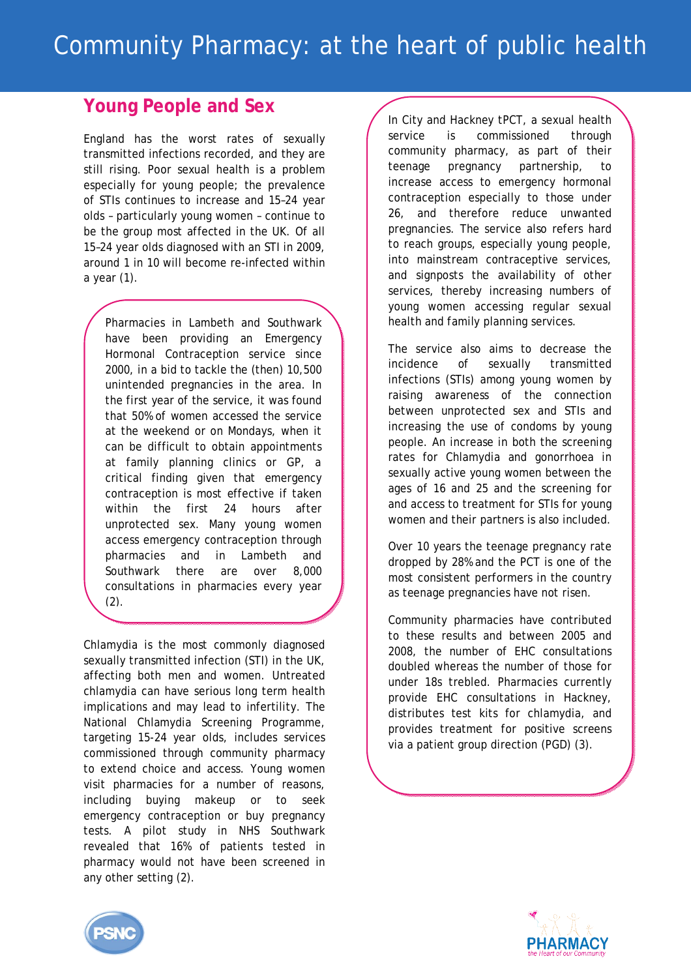## **Young People and Sex**

England has the worst rates of sexually transmitted infections recorded, and they are still rising. Poor sexual health is a problem especially for young people; the prevalence of STIs continues to increase and 15–24 year olds – particularly young women – continue to be the group most affected in the UK. Of all 15–24 year olds diagnosed with an STI in 2009, around 1 in 10 will become re-infected within a year (1).

Pharmacies in Lambeth and Southwark have been providing an Emergency Hormonal Contraception service since 2000, in a bid to tackle the (then) 10,500 unintended pregnancies in the area. In the first year of the service, it was found that 50% of women accessed the service at the weekend or on Mondays, when it can be difficult to obtain appointments at family planning clinics or GP, a critical finding given that emergency contraception is most effective if taken within the first 24 hours after unprotected sex. Many young women access emergency contraception through pharmacies and in Lambeth and Southwark there are over 8,000 consultations in pharmacies every year (2).

Chlamydia is the most commonly diagnosed sexually transmitted infection (STI) in the UK, affecting both men and women. Untreated chlamydia can have serious long term health implications and may lead to infertility. The National Chlamydia Screening Programme, targeting 15-24 year olds, includes services commissioned through community pharmacy to extend choice and access. Young women visit pharmacies for a number of reasons, including buying makeup or to seek emergency contraception or buy pregnancy tests. A pilot study in NHS Southwark revealed that 16% of patients tested in pharmacy would not have been screened in any other setting (2).

In City and Hackney tPCT, a sexual health service is commissioned through community pharmacy, as part of their teenage pregnancy partnership, to increase access to emergency hormonal contraception especially to those under 26, and therefore reduce unwanted pregnancies. The service also refers hard to reach groups, especially young people, into mainstream contraceptive services, and signposts the availability of other services, thereby increasing numbers of young women accessing regular sexual health and family planning services.

The service also aims to decrease the incidence of sexually transmitted infections (STIs) among young women by raising awareness of the connection between unprotected sex and STIs and increasing the use of condoms by young people. An increase in both the screening rates for Chlamydia and gonorrhoea in sexually active young women between the ages of 16 and 25 and the screening for and access to treatment for STIs for young women and their partners is also included.

Over 10 years the teenage pregnancy rate dropped by 28% and the PCT is one of the most consistent performers in the country as teenage pregnancies have not risen.

Community pharmacies have contributed to these results and between 2005 and 2008, the number of EHC consultations doubled whereas the number of those for under 18s trebled. Pharmacies currently provide EHC consultations in Hackney, distributes test kits for chlamydia, and provides treatment for positive screens via a patient group direction (PGD) (3).